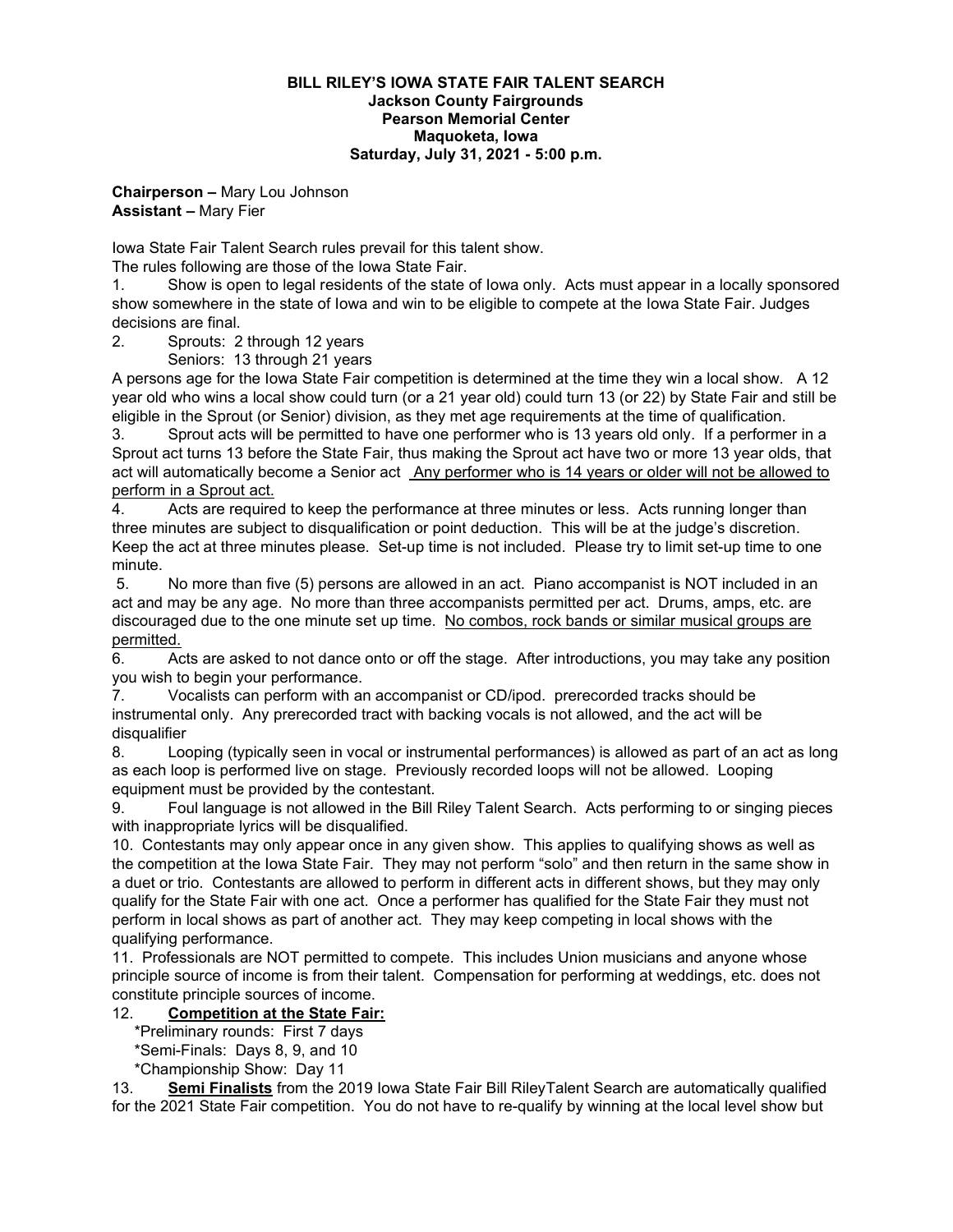#### **BILL RILEY'S IOWA STATE FAIR TALENT SEARCH Jackson County Fairgrounds Pearson Memorial Center Maquoketa, Iowa Saturday, July 31, 2021 - 5:00 p.m.**

### **Chairperson –** Mary Lou Johnson **Assistant –** Mary Fier

Iowa State Fair Talent Search rules prevail for this talent show.

The rules following are those of the Iowa State Fair.

1. Show is open to legal residents of the state of Iowa only. Acts must appear in a locally sponsored show somewhere in the state of Iowa and win to be eligible to compete at the Iowa State Fair. Judges decisions are final.

2. Sprouts: 2 through 12 years

Seniors: 13 through 21 years

A persons age for the Iowa State Fair competition is determined at the time they win a local show. A 12 year old who wins a local show could turn (or a 21 year old) could turn 13 (or 22) by State Fair and still be eligible in the Sprout (or Senior) division, as they met age requirements at the time of qualification.

3. Sprout acts will be permitted to have one performer who is 13 years old only. If a performer in a Sprout act turns 13 before the State Fair, thus making the Sprout act have two or more 13 year olds, that act will automatically become a Senior act Any performer who is 14 years or older will not be allowed to perform in a Sprout act.

4. Acts are required to keep the performance at three minutes or less. Acts running longer than three minutes are subject to disqualification or point deduction. This will be at the judge's discretion. Keep the act at three minutes please. Set-up time is not included. Please try to limit set-up time to one minute.

5. No more than five (5) persons are allowed in an act. Piano accompanist is NOT included in an act and may be any age. No more than three accompanists permitted per act. Drums, amps, etc. are discouraged due to the one minute set up time. No combos, rock bands or similar musical groups are permitted.

6. Acts are asked to not dance onto or off the stage. After introductions, you may take any position you wish to begin your performance.

7. Vocalists can perform with an accompanist or CD/ipod. prerecorded tracks should be instrumental only. Any prerecorded tract with backing vocals is not allowed, and the act will be disqualifier

8. Looping (typically seen in vocal or instrumental performances) is allowed as part of an act as long as each loop is performed live on stage. Previously recorded loops will not be allowed. Looping equipment must be provided by the contestant.

9. Foul language is not allowed in the Bill Riley Talent Search. Acts performing to or singing pieces with inappropriate lyrics will be disqualified.

10. Contestants may only appear once in any given show. This applies to qualifying shows as well as the competition at the Iowa State Fair. They may not perform "solo" and then return in the same show in a duet or trio. Contestants are allowed to perform in different acts in different shows, but they may only qualify for the State Fair with one act. Once a performer has qualified for the State Fair they must not perform in local shows as part of another act. They may keep competing in local shows with the qualifying performance.

11. Professionals are NOT permitted to compete. This includes Union musicians and anyone whose principle source of income is from their talent. Compensation for performing at weddings, etc. does not constitute principle sources of income.

### 12. **Competition at the State Fair:**

\*Preliminary rounds: First 7 days

\*Semi-Finals: Days 8, 9, and 10

\*Championship Show: Day 11

13. **Semi Finalists** from the 2019 Iowa State Fair Bill RileyTalent Search are automatically qualified for the 2021 State Fair competition. You do not have to re-qualify by winning at the local level show but